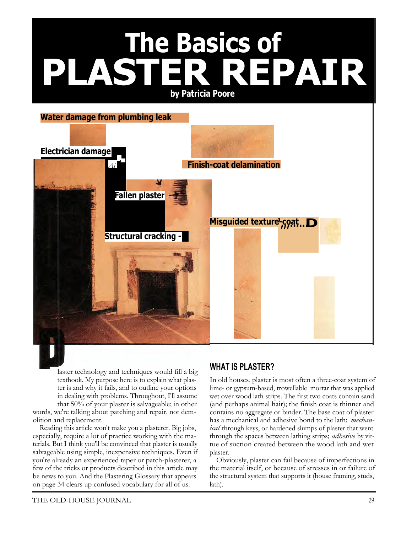# **The Basics of PLASTER REPAIR by Patricia Poore**

**Water damage from plumbing leak**



laster technology and techniques would fill a big textbook. My purpose here is to explain what plaster is and why it fails, and to outline your options in dealing with problems. Throughout, I'll assume that 50% of your plaster is salvageable; in other words, we're talking about patching and repair, not dem-

olition and replacement. Reading this article won't make you a plasterer. Big jobs, especially, require a lot of practice working with the materials. But I think you'll be convinced that plaster is usually salvageable using simple, inexpensive techniques. Even if you're already an experienced taper or patch-plasterer, a few of the tricks or products described in this article may be news to you. And the Plastering Glossary that appears on page 34 clears up confused vocabulary for all of us.

# **WHAT IS PLASTER?**

In old houses, plaster is most often a three-coat system of lime- or gypsum-based, trowellable mortar that was applied wet over wood lath strips. The first two coats contain sand (and perhaps animal hair); the finish coat is thinner and contains no aggregate or binder. The base coat of plaster has a mechanical and adhesive bond to the lath: *mechanical* through keys, or hardened slumps of plaster that went through the spaces between lathing strips; *adhesive* by virtue of suction created between the wood lath and wet plaster.

Obviously, plaster can fail because of imperfections in the material itself, or because of stresses in or failure of the structural system that supports it (house framing, studs, lath).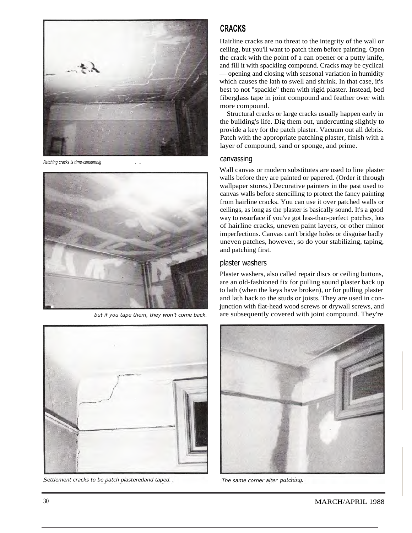

*Patching cracks is time-consumnig . .*



*but if you tape them, they won't come back.*



*Settlement cracks to be patch plasteredand taped. The same corner alter patching.*

## **CRACKS**

Hairline cracks are no threat to the integrity of the wall or ceiling, but you'll want to patch them before painting. Open the crack with the point of a can opener or a putty knife, and fill it with spackling compound. Cracks may be cyclical — opening and closing with seasonal variation in humidity which causes the lath to swell and shrink. In that case, it's best to not "spackle" them with rigid plaster. Instead, bed fiberglass tape in joint compound and feather over with more compound.

Structural cracks or large cracks usually happen early in the building's life. Dig them out, undercutting slightly to provide a key for the patch plaster. Vacuum out all debris. Patch with the appropriate patching plaster, finish with a layer of compound, sand or sponge, and prime.

#### canvassing

Wall canvas or modern substitutes are used to line plaster walls before they are painted or papered. (Order it through wallpaper stores.) Decorative painters in the past used to canvas walls before stencilling to protect the fancy painting from hairline cracks. You can use it over patched walls or ceilings, as long as the plaster is basically sound. It's a good way to resurface if you've got less-than-perfect patches, lots of hairline cracks, uneven paint layers, or other minor imperfections. Canvas can't bridge holes or disguise badly uneven patches, however, so do your stabilizing, taping, and patching first.

#### plaster washers

Plaster washers, also called repair discs or ceiling buttons, are an old-fashioned fix for pulling sound plaster back up to lath (when the keys have broken), or for pulling plaster and lath hack to the studs or joists. They are used in conjunction with flat-head wood screws or drywall screws, and are subsequently covered with joint compound. They're

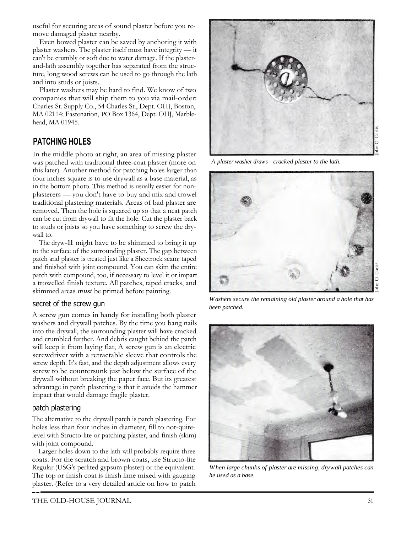useful for securing areas of sound plaster before you remove damaged plaster nearby.

Even bowed plaster can be saved by anchoring it with plaster washers. Tbe plaster itself must have integrity — it can't be crumbly or soft due to water damage. If the plasterand-lath assembly together has separated from the structure, long wood screws can be used to go through the lath and into studs or joists.

Plaster washers may be hard to find. We know of two companies that will ship them to you via mail-order: Charles St. Supply Co., 54 Charles St., Dept. OHJ, Boston, MA 02114; Fastenation, PO Box 1364, Dept. OHJ, Marblehead, MA 01945.

# **PATCHING HOLES**

In the middle photo at right, an area of missing plaster was patched with traditional three-coat plaster (more on this later). Another method for patching holes larger than four inches square is to use drywall as a base material, as in the bottom photo. This method is usually easier for nonplasterers — you don't have to buy and mix and trowel traditional plastering materials. Areas of bad plaster are removed. Then the hole is squared up so that a neat patch can be cut from drywall to fit the hole. Cut the plaster back to studs or joists so you have something to screw the drywall to.

The drywa ll might have to be shimmed to bring it up to the surface of the surrounding plaster. The gap between patch and plaster is treated just like a Sheetrock seam: taped and finished with joint compound. You can skim the entire patch with compound, too, if necessary to level it or impart a trowelled finish texture. All patches, taped cracks, and skimmed areas *must* be primed before painting.

### secret of the screw gun

A screw gun comes in handy for installing both plaster washers and drywall patches. By the time you bang nails into the drywall, the surrounding plaster will have cracked and crumbled further. And debris caught behind the patch will keep it from laying flat, A screw gun is an electric screwdriver with a retractable sleeve that controls the screw depth. It's fast, and the depth adjustment allows every screw to be countersunk just below the surface of the drywall without breaking the paper face. But its greatest advantage in patch plastering is that it avoids the hammer impact that would damage fragile plaster.

### patch plastering

The alternative to the drywall patch is patch plastering. For holes less than four inches in diameter, fill to not-quitelevel with Structo-lite or patching plaster, and finish (skim) with joint compound.

Larger holes down to the lath will probably require three coats. For the scratch and brown coats, use Structo-lite Regular (USG's perlited gypsum plaster) or the equivalent. The top or finish coat is finish lime mixed with gauging plaster. (Refer to a very detailed article on how to patch ー<br>ーー



*A plaster washer draws cracked plaster to the lath.*



*Washers secure the remaining old plaster around a hole that has been patched.*



*When large chunks of plaster are missing, drywall patches can he used as a base.*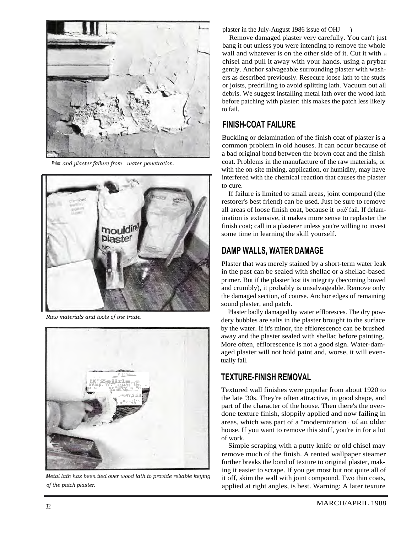

*Paint and plaster failure from water penetration.*



*Raw materials and tools of the trade.*



*Metal lath has been tied over wood lath to provide reliable keying of the patch plaster.*

plaster in the July-August 1986 issue of OHJ )

Remove damaged plaster very carefully. You can't just bang it out unless you were intending to remove the whole wall and whatever is on the other side of it. Cut it with a chisel and pull it away with your hands. using a prybar gently. Anchor salvageable surrounding plaster with washers as described previously. Resecure loose lath to the studs or joists, predrilling to avoid splitting lath. Vacuum out all debris. We suggest installing metal lath over the wood lath before patching with plaster: this makes the patch less likely to fail.

# **FINISH-COAT FAILURE**

Buckling or delamination of the finish coat of plaster is a common problem in old houses. It can occur because of a bad original bond between the brown coat and the finish coat. Problems in the manufacture of the raw materials, or with the on-site mixing, application, or humidity, may have interfered with the chemical reaction that causes the plaster to cure.

If failure is limited to small areas, joint compound (the restorer's best friend) can be used. Just be sure to remove all areas of loose finish coat, because it *will* fail. If delamination is extensive, it makes more sense to replaster the finish coat; call in a plasterer unless you're willing to invest some time in learning the skill yourself.

## **DAMP WALLS, WATER DAMAGE**

Plaster that was merely stained by a short-term water leak in the past can be sealed with shellac or a shellac-based primer. But if the plaster lost its integrity (becoming bowed and crumbly), it probably is unsalvageable. Remove only the damaged section, of course. Anchor edges of remaining sound plaster, and patch.

Plaster badly damaged by water effloresces. The dry powdery bubbles are salts in the plaster brought to the surface by the water. If it's minor, the efflorescence can be brushed away and the plaster sealed with shellac before painting. More often, efflorescence is not a good sign. Water-damaged plaster will not hold paint and, worse, it will eventually fall.

## **TEXTURE-FINISH REMOVAL**

Textured wall finishes were popular from about 1920 to the late '30s. They're often attractive, in good shape, and part of the character of the house. Then there's the overdone texture finish, sloppily applied and now failing in areas, which was part of a "modernization - of an older house. If you want to remove this stuff, you're in for a lot of work.

Simple scraping with a putty knife or old chisel may remove much of the finish. A rented wallpaper steamer further breaks the bond of texture to original plaster, making it easier to scrape. If you get most but not quite all of it off, skim the wall with joint compound. Two thin coats, applied at right angles, is best. Warning: A later texture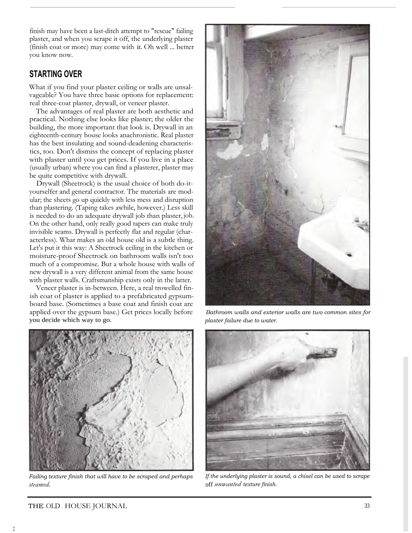finish may have been a last-ditch attempt to "rescue" failing plaster, and when you scrape it off, the underlying plaster (finish coat or more) may come with it. Oh well ... better you know now.

# **STARTING OVER**

What if you find your plaster ceiling or walls are unsalvageable? You have three basic options for replacement: real three-coat plaster, drywall, or veneer plaster.

The advantages of real plaster are both aesthetic and practical. Nothing else looks like plaster; the older the building, the more important that look is. Drywall in an eighteenth-century house looks anachronistic. Real plaster has the best insulating and sound-deadening characteristics, too. Don't dismiss the concept of replacing plaster with plaster until you get prices. If you live in a place (usually urban) where you can find a plasterer, plaster may be quite competitive with drywall.

Drywall (Sheetrock) is the usual choice of both do-ityourselfer and general contractor. The materials are modular; the sheets go up quickly with less mess and disruption than plastering. (Taping takes awhile, however.) Less skill is needed to do an adequate drywall job than plaster, job. On the other hand, only really good tapers can make truly invisible seams. Drywall is perfectly flat and regular (characterless). What makes an old house old is a subtle thing. Let's put it this way: A Sheetrock ceiling in the kitchen or moisture-proof Sheetrock on bathroom walls isn't too much of a compromise. But a whole house with walls of new drywall is a very different animal from the same house with plaster walls. Craftsmanship exists only in the latter.

Veneer plaster is in-between. Here, a real trowelled finish coat of plaster is applied to a prefabricated gypsumboard base. (Sometimes a base coat and finish coat are applied over the gypsum base.) Get prices locally before you decide which way to go.



*steamed.* off *unwanted texture finish.*



*Bathroom walls and exterior walls are two common sites for plaster failure due to water.*



*Failing texture finish that will have to be scraped and perhaps If the underlying plaster is sound, a chisel can be used to scrape*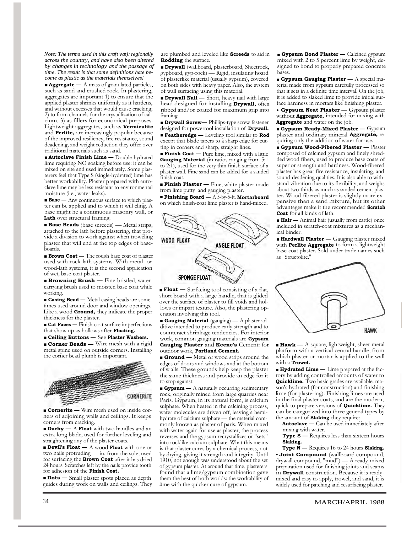*Note: The terms used in this craft vat): regionally across the country, and have also been altered by changes in technology and the passage of time. The result is that some definitions hate become as plastic as the materials themselves!*

**■ Aggregate —** A mass of granulated particles, such as sand and crushed rock. In plastering, aggregates are important 1) to ensure that the applied plaster shrinks uniformly as it hardens, and without excesses that would cause cracking; 2) to form channels for the crystallization of calcium, 3) as fillers for economical purposes. Lightweight aggregates, such as **Vermiculite** and **Perlite,** are increasingly popular because of the improved resiliency, fire resistance, sound deadening, and weight reduction they offer over traditional materials such as sand.

**■ Autoclave Finish Lime —** Double-hydrated lime requiring NO soaking before use: it can be mixed on site and used immediately. Some plasterers feel that Type S (single-hydrated) lime has better workability. Plaster prepared with autoclave lime may be less resistant to environmental moisture (i.e., water leaks).

**■ Base —** Any continuous surface to which plaster can be applied and to which it will cling. A base might he a continuous masonry wall, or **Lath** over structural framing.

**■ Base Beads** (base screeds) — Metal strips, attached to the lath before plastering, that provide a division to work against when troweling plaster that will end at the top edges of baseboards.

**■ Brown Coat —** The rough base coat of plaster used with rock-lath systems. With metal- or wood-lath systems, it is the second application of wet, base-coat plaster.

**■ Browning Brush —** Fine-bristled, watercarrying brush used to moisten base coat while working.

■ **Casing Bead** — Metal casing heads are sometimes used around door and window openings. Like a wood **Ground,** they indicate the proper thickness for the plaster.

**■ Cat Faces —** Finish-coat surface imperfections that show up as hollows after **Floating.**

**■ Ceiling Buttons —** See **Plaster Washers.**

**Externer Beads — Wire mesh with a rigid** metal spine used on outside corners. Installing the corner bead plumb is important.



**■ Cornerite —** Wire mesh used on inside corners of adjoining walls and ceilings. It keeps corners from cracking.

**■ Darby —** A **Float** with two handles and an extra-long blade, used for further leveling and straightening any of the plaster coats.

**■ Devil's Float —** A wood **Float** with one or two nails protruding in. from the sole, used for surfacing the **Brown Coat** after it has dried 24 hours. Scratches left by the nails provide tooth for adhesion of the **Finish Coat.**

■ **Dots** — Small plaster spots placed as depth guides during work on walls and ceilings. They are plumbed and leveled like **Screeds** to aid in **Rodding** the surface.

**■ Drywall** (wallboard, plasterboard, Sheetrock, gypboard, gyp-rock) — Rigid, insulating hoard of plasterlike material (usually gypsum), covered on both sides with heavy paper. Also, the system of wall surfacing using this material.

**■ Drywall Nail —** Short, heavy nail with large head designed for installing **Drywall,** often ribbed and/or coated for maximum grip into framing.

**■ Drywall Screw—** Phillips-type screw fastener designed for powertool installation of **Drywall.**

**■ Featheredge —** Leveling tool similar to **Rod** except that blade tapers to a sharp edge for cutting in corners and sharp, straight lines.

**■ Finish Coat —** Pure lime, mixed with a little **Gauging Material** (in ratios ranging from 5:1 to 2:1), used for the very thin finish surface of a plaster wall. Fine sand can be added for a sanded finish coat.

**Finish Plaster** — Fine, white plaster made from lime putty- and gauging plaster.

**■ Finishing Board —** A 5-by-5-ft. **Mortarboard** on which finish-coat lime plaster is hand-mixed.



■ **Float** — Surfacing tool consisting of a flat, short board with a large handle, that is glided over the surface of plaster to fill voids and hollows or impart texture. Also, the plastering operation involving this tool.

**■ Gauging Material** (gauging) — A plaster additive intended to produce early strength and to counteract shrinkage tendencies. For interior work, common gauging materials are **Gypsum Gauging Plaster** and **Keene's** Cement: for outdoor work, **Portland Cement.**

**■ Ground —** Metal or wood strips around the edges of doors and windows and at the bottom of w-alls. These grounds help keep the plaster the same thickness and provide an edge for it to stop against.

■ **Gypsum** — A naturally occurring sedimentary rock, originally mined from large quarries near Paris. Gypsum, in its natural form, is calcium sulphate. When heated in the calcining process, water molecules are driven off, leaving a hemihydrate of calcium sulphate — the material commonly known as plaster of paris. When mixed with water again for use as plaster, the process reverses and the gypsum recrystallizes or "sets" into rocklike calcium sulphate. What this means is that plaster cures by a chemical process, not by drying, giving it strength and integrity. Until 1910, not enough was understood about the set of gypsum plaster. At around that time, plasterers found that a lime/gypsum combination gave them the best of both worlds: the workability of lime with the quicker cure of gypsum.

**■ Gypsum Bond Plaster —** Calcined gypsum mixed with 2 to 5 percent lime by weight, designed to bond to properly prepared concrete bases.

**■ Gypsum Gauging Plaster —** A special material made from gypsum carefully processed so that it sets in a definite time interval. On the job, it is added to slaked lime to provide initial surface hardness in mortars like finishing plaster.

**• Gypsum Neat Plaster —** Gypsum plaster without **Aggregate,** intended for mixing with **Aggregate** and water on the job.

**■ Gypsum Ready-Mixed Plaster —** Gypsum plaster and ordinary mineral **Aggregate,** requiring only the addition of water for use.

**■ Gypsum Wood-Fibered Plaster —** Plaster composed of calcined gypsum and finely shredded wood fibers, used to produce base coats of superior strength and hardness. Wood-fibered plaster has great fire resistance, insulating, and sound-deadening qualities. It is also able to withstand vibration due to its flexibility, and weighs about two-thirds as much as sanded cement plaster. Wood-fibered plaster is slightly more expensive than a sand mixture, but its other advantages make it the recommended **Scratch Coat** for all kinds of lath.

■ **Hair** — Animal hair (usually from cattle) once included in scratch-coat mixtures as a mechanical binder.

**■ Hardwall Plaster —** Gauging plaster mixed with **Perlite Aggregate** to form a lightweight base-coat plaster. Sold under trade names such as "Structolite."



■ **Hawk** — A square, lightweight, sheet-metal platform with a vertical central handle, from which plaster or mortar is applied to the wall with a **Trowel.**

**■ Hydrated Lime —** Lime prepared at the factory by adding controlled amounts of water to **Quicklime.** Two basic grades are available: mason's hydrated (for construction) and finishing lime (for plastering). Finishing limes are used in the final plaster coats, and are the modern, quick-to-prepare versions of **Quicklime.** They can be categorized into three general types by the amount of **Slaking** they require:

**Autoclave —** Can be used immediately after mixing with water.

**Type S —** Requires less than sixteen hours **Slaking.**

**Type N —** Requires 16 to 24 hours **Slaking. • Joint Compound** (wallboard compound, drywall compound, "mud") — A ready-mixed preparation used for finishing joints and seams in **Drywall** construction. Because it is readymixed and easy to apply, trowel, and sand, it is widely used for patching and resurfacing plaster.